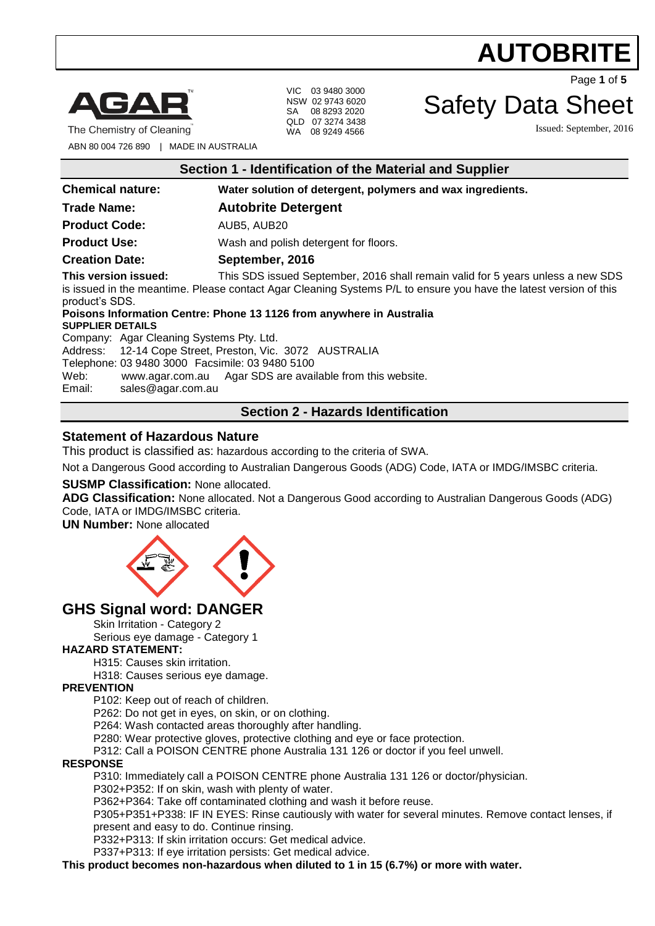

The Chemistry of Cleaning

VIC 03 9480 3000 NSW 02 9743 6020 SA 08 8293 2020 QLD 07 3274 3438 WA 08 9249 4566

Page **1** of **5**

## Safety Data Sheet

Issued: September, 2016

ABN 80 004 726 890 | MADE IN AUSTRALIA

| Section 1 - Identification of the Material and Supplier |  |
|---------------------------------------------------------|--|
|                                                         |  |

| <b>Chemical nature:</b>                                                                                                                                                                                                                                                                                                                           | Water solution of detergent, polymers and wax ingredients. |  |
|---------------------------------------------------------------------------------------------------------------------------------------------------------------------------------------------------------------------------------------------------------------------------------------------------------------------------------------------------|------------------------------------------------------------|--|
| <b>Trade Name:</b>                                                                                                                                                                                                                                                                                                                                | <b>Autobrite Detergent</b>                                 |  |
| <b>Product Code:</b>                                                                                                                                                                                                                                                                                                                              | AUB5, AUB20                                                |  |
| <b>Product Use:</b>                                                                                                                                                                                                                                                                                                                               | Wash and polish detergent for floors.                      |  |
| <b>Creation Date:</b>                                                                                                                                                                                                                                                                                                                             | September, 2016                                            |  |
| This version issued:<br>This SDS issued September, 2016 shall remain valid for 5 years unless a new SDS<br>is issued in the meantime. Please contact Agar Cleaning Systems P/L to ensure you have the latest version of this<br>product's SDS.<br>Poisons Information Centre: Phone 13 1126 from anywhere in Australia<br><b>SUPPLIER DETAILS</b> |                                                            |  |
| Company: Agar Cleaning Systems Pty. Ltd.                                                                                                                                                                                                                                                                                                          |                                                            |  |
| Address: 12-14 Cope Street, Preston, Vic. 3072 AUSTRALIA<br>Telephone: 03 9480 3000 Facsimile: 03 9480 5100<br>Web:<br>www.agar.com.au Agar SDS are available from this website.<br>Email:<br>sales@agar.com.au                                                                                                                                   |                                                            |  |
| <b>Section 2 - Hazards Identification</b>                                                                                                                                                                                                                                                                                                         |                                                            |  |

## **Statement of Hazardous Nature**

This product is classified as: hazardous according to the criteria of SWA.

Not a Dangerous Good according to Australian Dangerous Goods (ADG) Code, IATA or IMDG/IMSBC criteria.

### **SUSMP Classification:** None allocated.

**ADG Classification:** None allocated. Not a Dangerous Good according to Australian Dangerous Goods (ADG) Code, IATA or IMDG/IMSBC criteria.

**UN Number:** None allocated



## **GHS Signal word: DANGER**

Skin Irritation - Category 2

Serious eye damage - Category 1

### **HAZARD STATEMENT:**

H315: Causes skin irritation.

H318: Causes serious eye damage.

### **PREVENTION**

P102: Keep out of reach of children.

P262: Do not get in eyes, on skin, or on clothing.

P264: Wash contacted areas thoroughly after handling.

P280: Wear protective gloves, protective clothing and eye or face protection.

P312: Call a POISON CENTRE phone Australia 131 126 or doctor if you feel unwell.

#### **RESPONSE**

P310: Immediately call a POISON CENTRE phone Australia 131 126 or doctor/physician.

P302+P352: If on skin, wash with plenty of water.

P362+P364: Take off contaminated clothing and wash it before reuse.

P305+P351+P338: IF IN EYES: Rinse cautiously with water for several minutes. Remove contact lenses, if present and easy to do. Continue rinsing.

P332+P313: If skin irritation occurs: Get medical advice.

P337+P313: If eye irritation persists: Get medical advice.

**This product becomes non-hazardous when diluted to 1 in 15 (6.7%) or more with water.**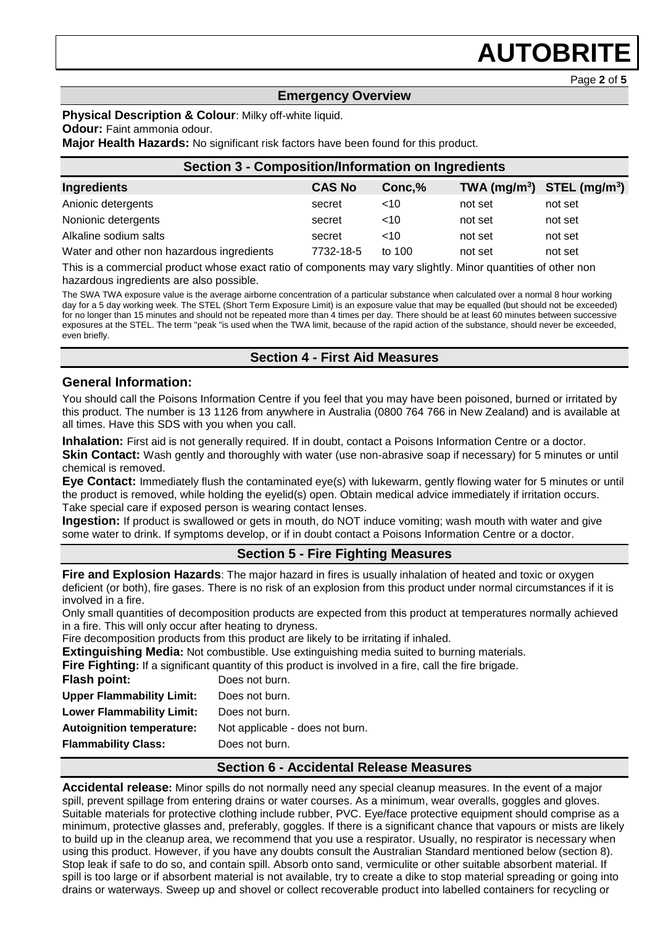Page **2** of **5**

### **Emergency Overview**

**Physical Description & Colour**: Milky off-white liquid.

#### **Odour:** Faint ammonia odour.

**Major Health Hazards:** No significant risk factors have been found for this product.

| <b>Section 3 - Composition/Information on Ingredients</b> |               |         |         |                              |
|-----------------------------------------------------------|---------------|---------|---------|------------------------------|
| <b>Ingredients</b>                                        | <b>CAS No</b> | Conc, % |         | $TWA (mg/m3)$ STEL $(mg/m3)$ |
| Anionic detergents                                        | secret        | ~10     | not set | not set                      |
| Nonionic detergents                                       | secret        | ~10     | not set | not set                      |
| Alkaline sodium salts                                     | secret        | ~10     | not set | not set                      |
| Water and other non hazardous ingredients                 | 7732-18-5     | to 100  | not set | not set                      |

This is a commercial product whose exact ratio of components may vary slightly. Minor quantities of other non hazardous ingredients are also possible.

The SWA TWA exposure value is the average airborne concentration of a particular substance when calculated over a normal 8 hour working day for a 5 day working week. The STEL (Short Term Exposure Limit) is an exposure value that may be equalled (but should not be exceeded) for no longer than 15 minutes and should not be repeated more than 4 times per day. There should be at least 60 minutes between successive exposures at the STEL. The term "peak "is used when the TWA limit, because of the rapid action of the substance, should never be exceeded, even briefly.

## **Section 4 - First Aid Measures**

## **General Information:**

You should call the Poisons Information Centre if you feel that you may have been poisoned, burned or irritated by this product. The number is 13 1126 from anywhere in Australia (0800 764 766 in New Zealand) and is available at all times. Have this SDS with you when you call.

**Inhalation:** First aid is not generally required. If in doubt, contact a Poisons Information Centre or a doctor.

**Skin Contact:** Wash gently and thoroughly with water (use non-abrasive soap if necessary) for 5 minutes or until chemical is removed.

**Eye Contact:** Immediately flush the contaminated eye(s) with lukewarm, gently flowing water for 5 minutes or until the product is removed, while holding the eyelid(s) open. Obtain medical advice immediately if irritation occurs. Take special care if exposed person is wearing contact lenses.

**Ingestion:** If product is swallowed or gets in mouth, do NOT induce vomiting; wash mouth with water and give some water to drink. If symptoms develop, or if in doubt contact a Poisons Information Centre or a doctor.

## **Section 5 - Fire Fighting Measures**

**Fire and Explosion Hazards**: The major hazard in fires is usually inhalation of heated and toxic or oxygen deficient (or both), fire gases. There is no risk of an explosion from this product under normal circumstances if it is involved in a fire.

Only small quantities of decomposition products are expected from this product at temperatures normally achieved in a fire. This will only occur after heating to dryness.

Fire decomposition products from this product are likely to be irritating if inhaled.

**Extinguishing Media:** Not combustible. Use extinguishing media suited to burning materials.

**Fire Fighting:** If a significant quantity of this product is involved in a fire, call the fire brigade.

| <b>Flash point:</b>              | Does not burn.                  |
|----------------------------------|---------------------------------|
| <b>Upper Flammability Limit:</b> | Does not burn.                  |
| <b>Lower Flammability Limit:</b> | Does not burn.                  |
| <b>Autoignition temperature:</b> | Not applicable - does not burn. |
| <b>Flammability Class:</b>       | Does not burn.                  |
|                                  |                                 |

## **Section 6 - Accidental Release Measures**

**Accidental release:** Minor spills do not normally need any special cleanup measures. In the event of a major spill, prevent spillage from entering drains or water courses. As a minimum, wear overalls, goggles and gloves. Suitable materials for protective clothing include rubber, PVC. Eye/face protective equipment should comprise as a minimum, protective glasses and, preferably, goggles. If there is a significant chance that vapours or mists are likely to build up in the cleanup area, we recommend that you use a respirator. Usually, no respirator is necessary when using this product. However, if you have any doubts consult the Australian Standard mentioned below (section 8). Stop leak if safe to do so, and contain spill. Absorb onto sand, vermiculite or other suitable absorbent material. If spill is too large or if absorbent material is not available, try to create a dike to stop material spreading or going into drains or waterways. Sweep up and shovel or collect recoverable product into labelled containers for recycling or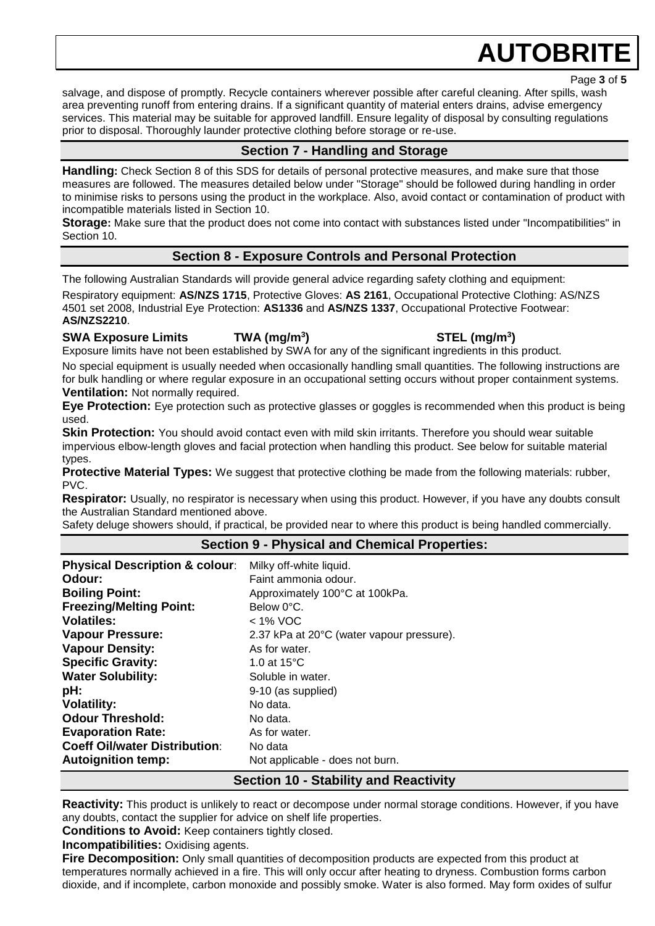Page **3** of **5**

salvage, and dispose of promptly. Recycle containers wherever possible after careful cleaning. After spills, wash area preventing runoff from entering drains. If a significant quantity of material enters drains, advise emergency services. This material may be suitable for approved landfill. Ensure legality of disposal by consulting regulations prior to disposal. Thoroughly launder protective clothing before storage or re-use.

## **Section 7 - Handling and Storage**

**Handling:** Check Section 8 of this SDS for details of personal protective measures, and make sure that those measures are followed. The measures detailed below under "Storage" should be followed during handling in order to minimise risks to persons using the product in the workplace. Also, avoid contact or contamination of product with incompatible materials listed in Section 10.

**Storage:** Make sure that the product does not come into contact with substances listed under "Incompatibilities" in Section 10.

## **Section 8 - Exposure Controls and Personal Protection**

The following Australian Standards will provide general advice regarding safety clothing and equipment:

Respiratory equipment: **AS/NZS 1715**, Protective Gloves: **AS 2161**, Occupational Protective Clothing: AS/NZS 4501 set 2008, Industrial Eye Protection: **AS1336** and **AS/NZS 1337**, Occupational Protective Footwear: **AS/NZS2210**.

## **SWA Exposure Limits TWA (mg/m<sup>3</sup>**

Exposure limits have not been established by SWA for any of the significant ingredients in this product.

No special equipment is usually needed when occasionally handling small quantities. The following instructions are for bulk handling or where regular exposure in an occupational setting occurs without proper containment systems. **Ventilation:** Not normally required.

**Eye Protection:** Eye protection such as protective glasses or goggles is recommended when this product is being used.

**Skin Protection:** You should avoid contact even with mild skin irritants. Therefore you should wear suitable impervious elbow-length gloves and facial protection when handling this product. See below for suitable material types.

**Protective Material Types:** We suggest that protective clothing be made from the following materials: rubber, PVC.

**Respirator:** Usually, no respirator is necessary when using this product. However, if you have any doubts consult the Australian Standard mentioned above.

Safety deluge showers should, if practical, be provided near to where this product is being handled commercially.

## **Section 9 - Physical and Chemical Properties:**

| <b>Physical Description &amp; colour:</b> | Milky off-white liquid.                      |
|-------------------------------------------|----------------------------------------------|
| Odour:                                    | Faint ammonia odour.                         |
| <b>Boiling Point:</b>                     | Approximately 100°C at 100kPa.               |
| <b>Freezing/Melting Point:</b>            | Below 0°C.                                   |
| <b>Volatiles:</b>                         | < 1% VOC                                     |
| <b>Vapour Pressure:</b>                   | 2.37 kPa at 20°C (water vapour pressure).    |
| <b>Vapour Density:</b>                    | As for water.                                |
| <b>Specific Gravity:</b>                  | 1.0 at $15^{\circ}$ C                        |
| <b>Water Solubility:</b>                  | Soluble in water.                            |
| pH:                                       | 9-10 (as supplied)                           |
| <b>Volatility:</b>                        | No data.                                     |
| <b>Odour Threshold:</b>                   | No data.                                     |
| <b>Evaporation Rate:</b>                  | As for water.                                |
| <b>Coeff Oil/water Distribution:</b>      | No data                                      |
| <b>Autoignition temp:</b>                 | Not applicable - does not burn.              |
|                                           | <b>Section 10 - Stability and Reactivity</b> |

**Reactivity:** This product is unlikely to react or decompose under normal storage conditions. However, if you have any doubts, contact the supplier for advice on shelf life properties.

**Conditions to Avoid:** Keep containers tightly closed.

**Incompatibilities:** Oxidising agents.

**Fire Decomposition:** Only small quantities of decomposition products are expected from this product at temperatures normally achieved in a fire. This will only occur after heating to dryness. Combustion forms carbon dioxide, and if incomplete, carbon monoxide and possibly smoke. Water is also formed. May form oxides of sulfur

**) STEL (mg/m<sup>3</sup> )**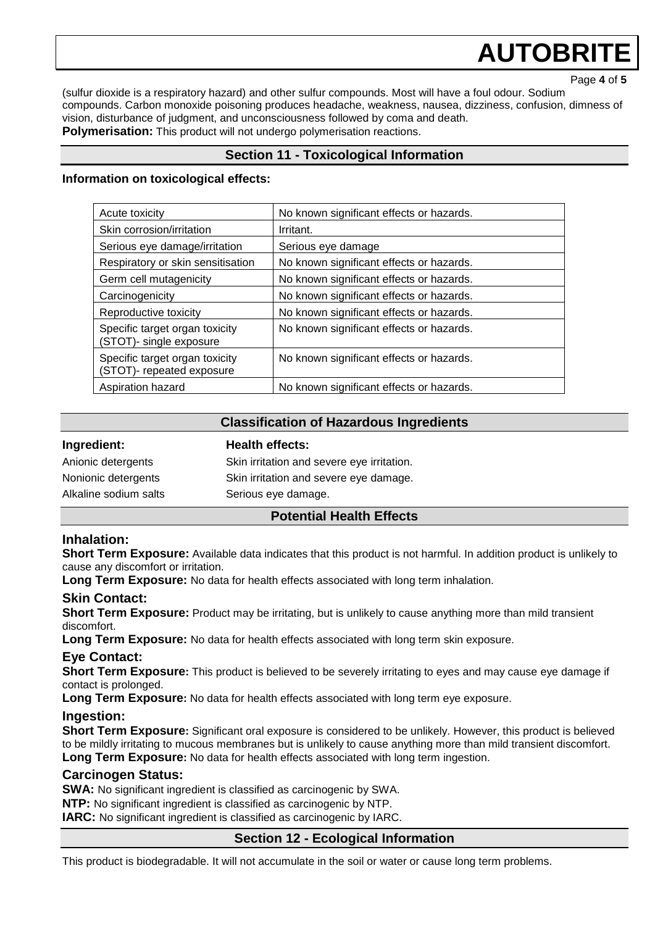Page **4** of **5**

(sulfur dioxide is a respiratory hazard) and other sulfur compounds. Most will have a foul odour. Sodium compounds. Carbon monoxide poisoning produces headache, weakness, nausea, dizziness, confusion, dimness of vision, disturbance of judgment, and unconsciousness followed by coma and death. **Polymerisation:** This product will not undergo polymerisation reactions.

## **Section 11 - Toxicological Information**

#### **Information on toxicological effects:**

| Acute toxicity                                              | No known significant effects or hazards. |  |
|-------------------------------------------------------------|------------------------------------------|--|
| Skin corrosion/irritation                                   | Irritant.                                |  |
| Serious eye damage/irritation                               | Serious eye damage                       |  |
| Respiratory or skin sensitisation                           | No known significant effects or hazards. |  |
| Germ cell mutagenicity                                      | No known significant effects or hazards. |  |
| Carcinogenicity                                             | No known significant effects or hazards. |  |
| Reproductive toxicity                                       | No known significant effects or hazards. |  |
| Specific target organ toxicity<br>(STOT)- single exposure   | No known significant effects or hazards. |  |
| Specific target organ toxicity<br>(STOT)- repeated exposure | No known significant effects or hazards. |  |
| Aspiration hazard                                           | No known significant effects or hazards. |  |

### **Classification of Hazardous Ingredients**

| Ingredient:           | <b>Health effects:</b>                     |  |  |
|-----------------------|--------------------------------------------|--|--|
| Anionic detergents    | Skin irritation and severe eye irritation. |  |  |
| Nonionic detergents   | Skin irritation and severe eye damage.     |  |  |
| Alkaline sodium salts | Serious eye damage.                        |  |  |
|                       |                                            |  |  |

### **Potential Health Effects**

## **Inhalation:**

**Short Term Exposure:** Available data indicates that this product is not harmful. In addition product is unlikely to cause any discomfort or irritation.

**Long Term Exposure:** No data for health effects associated with long term inhalation.

### **Skin Contact:**

**Short Term Exposure:** Product may be irritating, but is unlikely to cause anything more than mild transient discomfort.

**Long Term Exposure:** No data for health effects associated with long term skin exposure.

### **Eye Contact:**

**Short Term Exposure:** This product is believed to be severely irritating to eyes and may cause eye damage if contact is prolonged.

**Long Term Exposure:** No data for health effects associated with long term eye exposure.

### **Ingestion:**

**Short Term Exposure:** Significant oral exposure is considered to be unlikely. However, this product is believed to be mildly irritating to mucous membranes but is unlikely to cause anything more than mild transient discomfort. **Long Term Exposure:** No data for health effects associated with long term ingestion.

### **Carcinogen Status:**

**SWA:** No significant ingredient is classified as carcinogenic by SWA. **NTP:** No significant ingredient is classified as carcinogenic by NTP. **IARC:** No significant ingredient is classified as carcinogenic by IARC.

## **Section 12 - Ecological Information**

This product is biodegradable. It will not accumulate in the soil or water or cause long term problems.